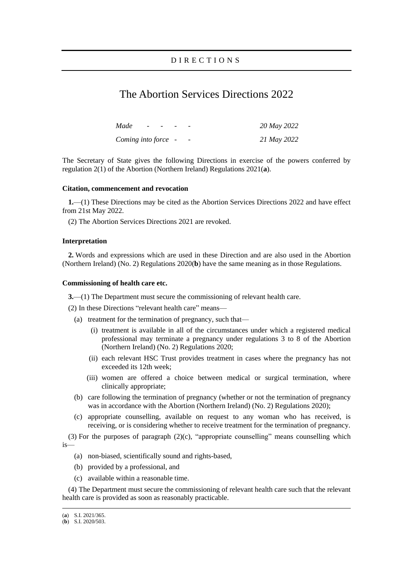# The Abortion Services Directions 2022

| Made<br>$\sim$      | and the contract of the | $\overline{\phantom{0}}$ | 20 May 2022 |
|---------------------|-------------------------|--------------------------|-------------|
| Coming into force - |                         | -                        | 21 May 2022 |

The Secretary of State gives the following Directions in exercise of the powers conferred by regulation 2(1) of the Abortion (Northern Ireland) Regulations 2021(**a**).

### **Citation, commencement and revocation**

**1.**—(1) These Directions may be cited as the Abortion Services Directions 2022 and have effect from 21st May 2022.

(2) The Abortion Services Directions 2021 are revoked.

## **Interpretation**

**2.** Words and expressions which are used in these Direction and are also used in the Abortion (Northern Ireland) (No. 2) Regulations 2020(**b**) have the same meaning as in those Regulations.

#### **Commissioning of health care etc.**

**3.**—(1) The Department must secure the commissioning of relevant health care.

(2) In these Directions "relevant health care" means—

- (a) treatment for the termination of pregnancy, such that—
	- (i) treatment is available in all of the circumstances under which a registered medical professional may terminate a pregnancy under regulations 3 to 8 of the Abortion (Northern Ireland) (No. 2) Regulations 2020;
	- (ii) each relevant HSC Trust provides treatment in cases where the pregnancy has not exceeded its 12th week;
	- (iii) women are offered a choice between medical or surgical termination, where clinically appropriate;
- (b) care following the termination of pregnancy (whether or not the termination of pregnancy was in accordance with the Abortion (Northern Ireland) (No. 2) Regulations 2020);
- (c) appropriate counselling, available on request to any woman who has received, is receiving, or is considering whether to receive treatment for the termination of pregnancy.

(3) For the purposes of paragraph (2)(c), "appropriate counselling" means counselling which is—

- (a) non-biased, scientifically sound and rights-based,
- (b) provided by a professional, and
- (c) available within a reasonable time.

(4) The Department must secure the commissioning of relevant health care such that the relevant health care is provided as soon as reasonably practicable.

<sup>(</sup>**a**) S.I. 2021/365.

<sup>(</sup>**b**) S.I. 2020/503.